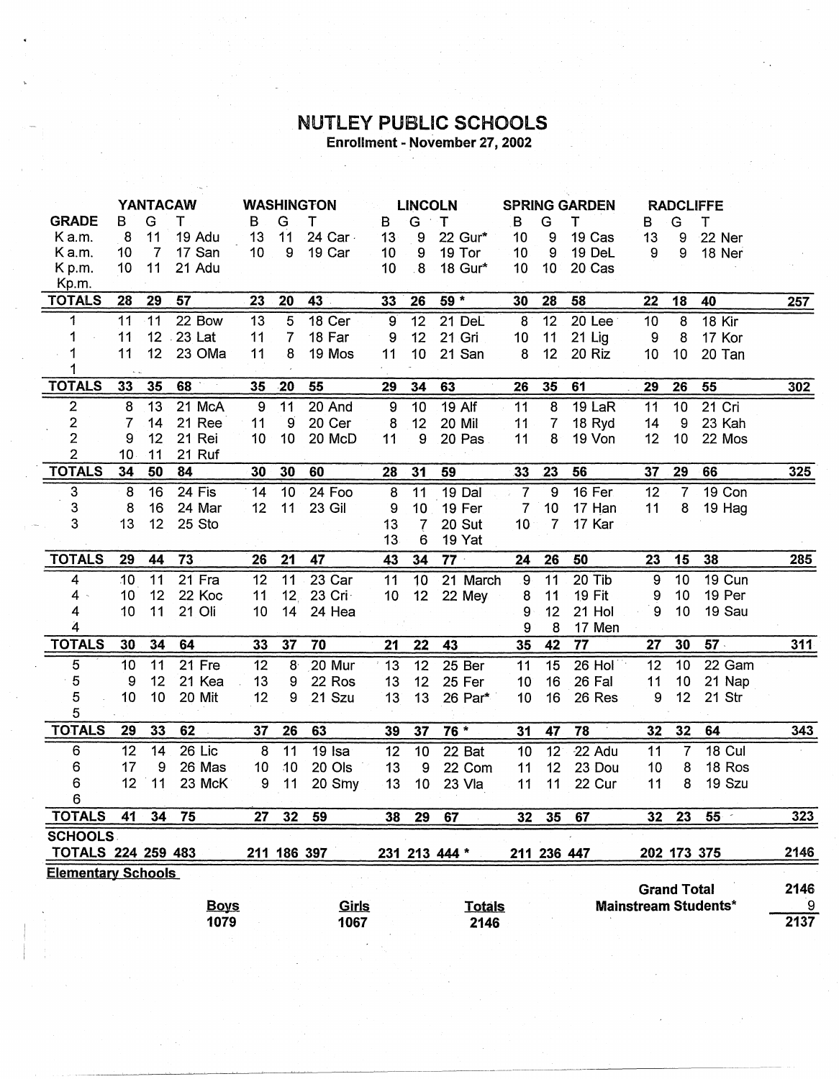## **NUTLEY PUBLIC SCHOOLS**<br>Enrollment - November 27, 2002

|                           |    |                | YANTACAW    |                 | <b>WASHINGTON</b> |              |                 | <b>LINCOLN</b>    |               |                 | <b>SPRING GARDEN</b> |           |                  | <b>RADCLIFFE</b>   |                             |      |
|---------------------------|----|----------------|-------------|-----------------|-------------------|--------------|-----------------|-------------------|---------------|-----------------|----------------------|-----------|------------------|--------------------|-----------------------------|------|
| <b>GRADE</b>              | в  | G              | т           | B               | G                 | т            | B               | G                 | T             | B               | G                    | Т         | в                | G                  | т                           |      |
| K a.m.                    | 8  | 11             | 19 Adu      | 13              | 11                | 24 Car -     | 13 <sup>°</sup> | 9                 | 22 Gur*       | 10              | 9                    | 19 Cas    | 13               | 9                  | 22 Ner                      |      |
| K a.m.                    | 10 | $\overline{7}$ | 17 San      | 10              | 9                 | 19 Car       | 10              | 9                 | 19 Tor        | 10              | 9                    | 19 DeL    | 9                | 9                  | 18 Ner                      |      |
| K p.m.                    | 10 | 11             | 21 Adu      |                 |                   |              | 10 <sup>°</sup> | $8\phantom{1}$    | 18 Gur*       | 10              | 10                   | 20 Cas    |                  |                    |                             |      |
| Kp.m.                     |    |                |             |                 |                   |              |                 |                   |               |                 |                      |           |                  |                    |                             |      |
| <b>TOTALS</b>             | 28 | 29             | 57          | 23              | 20                | 43           | 33              | 26                | $59*$         | 30              | 28                   | 58        | 22               | 18                 | 40                          | 257  |
| 1                         | 11 | 11             | 22 Bow      | 13              | 5                 | 18 Cer       | 9               | 12                | 21 DeL        | 8               | $\overline{12}$      | 20 Lee    | 10               | $\boldsymbol{8}$   | <b>18 Kir</b>               |      |
| 1                         | 11 |                | 12 . 23 Lat | 11              | $\overline{7}$    | 18 Far       | 9               | 12                | 21 Gri        | 10              | 11                   | $21$ Lig  | 9                | 8                  | 17 Kor                      |      |
|                           | 11 | 12             | 23 OMa      | 11              | 8                 | 19 Mos       | 11              | 10                | 21 San        | 8               | 12                   | 20 Riz    | 10               | 10                 | 20 Tan                      |      |
|                           |    |                |             |                 |                   |              |                 |                   |               |                 |                      |           |                  |                    |                             |      |
| <b>TOTALS</b>             | 33 | 35             | 68          | 35              | $-20$             | 55           | 29              | 34                | 63            | 26              | 35                   | 61        | 29               | 26                 | 55                          | 302  |
| $\boldsymbol{2}$          | 8  | 13             | 21 McA      | 9               | 11                | 20 And       | 9               | 10                | <b>19 Alf</b> | 11              | 8                    | 19 LaR    | 11               | 10                 | 21 Cri                      |      |
| $\overline{\mathbf{c}}$   | 7  | 14             | 21 Ree      | 11              | 9                 | 20 Cer       | 8               | 12                | 20 Mil        | 11              | $\overline{7}$       | 18 Ryd    | 14               | 9                  | 23 Kah                      |      |
| $\overline{2}$            | 9  | 12             | 21 Rei      | 10              | 10                | 20 McD       | 11              | 9                 | 20 Pas        | 11              | 8                    | 19 Von    | 12               | 10                 | 22 Mos                      |      |
| $\overline{c}$            | 10 | 11             | 21 Ruf      |                 |                   |              |                 |                   |               |                 |                      |           |                  |                    |                             |      |
| <b>TOTALS</b>             | 34 | 50             | 84          | 30              | 30                | 60           | 28              | 31                | 59            | 33              | 23                   | 56        | 37               | 29                 | 66                          | 325  |
| 3                         | 8  | 16             | 24 Fis      | 14              | 10                | 24 Foo       | 8               | 11                | 19 Dal        | $\overline{7}$  | $\overline{9}$       | $16$ Fer  | 12               | $\overline{7}$     | 19 Con                      |      |
| 3                         | 8  | 16             | 24 Mar      | 12 <sub>2</sub> | 11                | 23 Gil       | 9               | 10                | 19 Fer        | 7               | 10                   | 17 Han    | 11               | 8                  | 19 Hag                      |      |
| 3                         | 13 | 12             | 25 Sto      |                 |                   |              | 13 <sub>1</sub> | $\overline{\ell}$ | 20 Sut        | 10              | 7                    | 17 Kar    |                  |                    |                             |      |
|                           |    |                |             |                 |                   |              | 13              | 6                 | 19 Yat        |                 |                      |           |                  |                    |                             |      |
| <b>TOTALS</b>             | 29 | 44             | 73          | 26              | 21                | 47           | 43              | 34                | $77 -$        | 24              | 26                   | 50        | 23               | 15                 | 38                          | 285  |
| 4                         | 10 | 11             | 21 Fra      | 12              | 11                | 23 Car       | 11              | 10                | 21 March      | $\overline{9}$  | 11                   | $20$ Tib  | 9                | 10                 | 19 Cun                      |      |
| 4                         | 10 | 12             | 22 Koc      | 11              | 12 <sub>1</sub>   | 23 Cri       | 10              | 12                | 22 Mey        | 8               | 11                   | 19 Fit    | $\boldsymbol{9}$ | 10                 | 19 Per                      |      |
| 4                         | 10 | 11             | 21 Oli      | 10              | 14                | 24 Hea       |                 |                   |               | 9               | 12                   | 21 Hol    | $\boldsymbol{9}$ | 10                 | 19 Sau                      |      |
| 4                         |    |                |             |                 |                   |              |                 |                   |               | 9               | 8                    | 17 Men    |                  |                    |                             |      |
| <b>TOTALS</b>             | 30 | 34             | 64          | 33              | 37                | 70           | 21              | 22                | 43            | 35              | 42                   | 77        | 27               | 30                 | 57.                         | 311  |
| 5                         | 10 | 11             | 21 Fre      | 12              | 8 <sup>°</sup>    | 20 Mur       | 13              | 12                | 25 Ber        | 11              | 15                   | 26 Hol    | 12               | 10                 | 22 Gam                      |      |
| 5                         | 9  | 12             | 21 Kea      | 13              | 9                 | 22 Ros       | 13              | 12                | 25 Fer        | 10              | 16                   | 26 Fal    | 11               | 10                 | 21 Nap                      |      |
| 5                         | 10 | 10             | 20 Mit      | 12              | 9                 | 21 Szu       | 13              | 13                | 26 Par*       | 10              | 16                   | 26 Res    | 9                | 12                 | 21 Str                      |      |
| $\overline{5}$            |    |                |             |                 |                   |              |                 |                   |               |                 |                      |           |                  |                    |                             |      |
| <b>TOTALS</b>             | 29 | 33             | 62          | 37              | 26                | 63           | 39              | 37                | 76 *          | 31              | 47                   | 78        | 32               | 32                 | 64                          | 343  |
| 6                         | 12 | 14             | 26 Lic      | 8               | 11                | 19 Isa       | 12              | 10                | 22 Bat        | 10              | 12                   | $-22$ Adu | 11               | $\overline{7}$     | <b>18 Cul</b>               |      |
| 6                         | 17 | 9              | 26 Mas      | 10              | 10                | 20 Ols       | 13              | 9                 | 22 Com        | 11              | 12                   | 23 Dou    | 10               | 8                  | 18 Ros                      |      |
| 6                         | 12 | $-11$          | 23 McK      | 9               | 11                | 20 Smy       | 13              | 10                | 23 Vla        | 11              | 11                   | 22 Cur    | 11               | 8                  | 19 Szu                      |      |
| 6                         |    |                |             |                 |                   |              |                 |                   |               |                 |                      |           |                  |                    |                             |      |
| <b>TOTALS</b>             | 41 | 34             | 75          | 27              | 32 <sub>2</sub>   | 59           | 38              | 29                | 67            | 32 <sub>2</sub> | 35                   | 67        | 32               | 23                 | $55 -$                      | 323  |
| <b>SCHOOLS</b>            |    |                |             |                 |                   |              |                 |                   |               |                 |                      |           |                  |                    |                             |      |
| <b>TOTALS 224 259 483</b> |    |                |             | 211             |                   | 186 397      |                 |                   | 231 213 444 * |                 | 211 236 447          |           |                  |                    | 202 173 375                 | 2146 |
| <b>Elementary Schools</b> |    |                |             |                 |                   |              |                 |                   |               |                 |                      |           |                  |                    |                             |      |
|                           |    |                |             |                 |                   |              |                 |                   |               |                 |                      |           |                  | <b>Grand Total</b> |                             | 2146 |
|                           |    |                | <b>Boys</b> |                 |                   | <u>Girls</u> |                 |                   | <b>Totals</b> |                 |                      |           |                  |                    | <b>Mainstream Students*</b> | 9    |
|                           |    |                | 1079        |                 |                   | 1067         |                 |                   | 2146          |                 |                      |           |                  |                    |                             | 2137 |